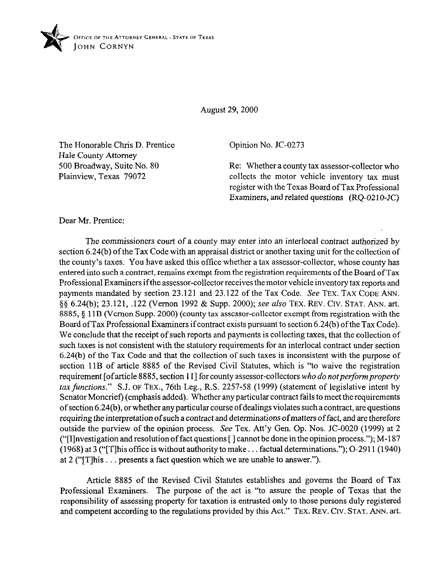

August 29,200O

The Honorable Chris D. Prentice Hale County Attorney 500 Broadway, Suite No. 80 Plainview, Texas 79072

Opinion No. JC-0273

Re: Whether a county tax assessor-collector who collects the motor vehicle inventory tax must register with the Texas Board ofTax Professional Examiners, and related questions (RQ-0210-JC)

Dear Mr. Prentice:

The commissioners court of a county may enter into an interlocal contract authorized by section 6.24(b) of the Tax Code with an appraisal district or another taxing unit for the collection of the county's taxes. You have asked this office whether a tax assessor-collector, whose county has entered into such a contract, remains exempt from the registration requirements of the Board ofTax Professional Examiners ifthe assessor-collector receives the motor vehicle inventory tax reports and payments mandated by section 23.121 and 23.122 of the Tax Code. See TEX. TAX CODE ANN. §§ 6.24(b); 23.121, .122 (Vernon 1992 & Supp. 2000); see also TEX. REV. CIV. STAT. ANN. art. 8885, § 11B (Vernon Supp. 2000) (county tax assessor-collector exempt from registration with the Board of Tax Professional Examiners if contract exists pursuant to section 6.24(b) of the Tax Code). We conclude that the receipt of such reports and payments is collecting taxes, that the collection of such taxes is not consistent with the statutory requirements for an interlocal contract under section 6.24(b) of the Tax Code and that the collection of such taxes is inconsistent with the purpose of section 11B of article 8885 of the Revised Civil Statutes, which is "to waive the registration requirement [ofarticle 8885, section 1 I] for county assessor-collectors *who do notperformproperfy*  tax functions." S.J. OF TEX., 76th Leg., R.S. 2257-58 (1999) (statement of legislative intent by Senator Moncrief) (emphasis added). Whether any particular contract fails to meet the requirements of section 6.24(b), or whether any particular course ofdealings violates such a contract, are questions requiring the interpretation of such a contract and determinations of matters of fact, and are therefore outside the purview of the opinion process. See Tex. Att'y Gen. Op. Nos. JC-0020 (1999) at 2 ("[I]nvestigation and resolution of fact questions  $[$ ] cannot be done in the opinion process."); M-187 (1968) at 3 ("[T] his office is without authority to make... factual determinations."); O-2911 (1940) at 2 (" $[T]$ his ... presents a fact question which we are unable to answer.").

Article 8885 of the Revised Civil Statutes establishes and governs the Board of Tax Professional Examiners. The purpose of the act is "to assure the people of Texas that the responsibility of assessing property for taxation is entrusted only to those persons duly registered and competent according to the regulations provided by this Act." TEX. REV. CIV. STAT. ANN. art.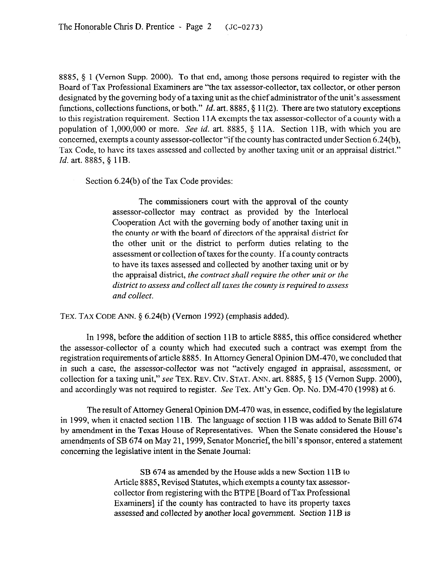8885, 5 I (Vernon Supp. 2000). To that end, among those persons required to register with the Board of Tax Professional Examiners are "the tax assessor-collector, tax collector, or other person designated by the governing body of a taxing unit as the chief administrator of the unit's assessment functions, collections functions, or both." *Id.* art. 8885, § 11(2). There are two statutory exceptions to this registration requirement. Section 11A exempts the tax assessor-collector of a county with a population of 1,000,000 or more. See id. art. 8885, § 11A. Section 11B, with which you are concerned, exempts a county assessor-collector "if the county has contracted under Section 6.24(b), Tax Code, to have its taxes assessed and collected by another taxing unit or an appraisal district." *Id.* art. 8885, § 11B.

Section 6.24(b) of the Tax Code provides:

The commissioners court with the approval of the county assessor-collector may contract as provided by the Interlocal Cooperation Act with the governing body of another taxing unit in the county or with the board of directors of the appraisal district for the other unit or the district to perform duties relating to the assessment or collection oftaxes for the county. If a county contracts to have its taxes assessed and collected by another taxing unit or by the appraisal district, *the contract shall require the other unit or the district to assess and collect all taxes the county is required to assess and collect.* 

TEX. TAX CODE ANN. § 6.24(b) (Vernon 1992) (emphasis added).

In 1998, before the addition of section 11B to article 8885, this oftice considered whether the assessor-collector of a county which had executed such a contract was exempt from the registration requirements of article 8885. In Attorney General Opinion DM-470, we concluded that in such a case, the assessor-collector was not "actively engaged in appraisal, assessment, or collection for a taxing unit," see TEX. REV. CIV. STAT. ANN. art. 8885, § 15 (Vernon Supp. 2000), and accordingly was not required to register. See Tex. Att'y Gen. Op. No. DM-470 (1998) at 6.

The result of Attorney General Opinion DM-470 was, in essence, codified by the legislature in 1999, when it enacted section I 1B. The language of section 11B was added to Senate Bill 674 by amendment in the Texas House of Representatives. When the Senate considered the House's amendments of SB 674 on May 21,1999, Senator Moncrief, the bill's sponsor, entered a statement concerning the legislative intent in the Senate Journal:

> SB 674 as amended by the House adds a new Section 11B to Article 8885, Revised Statutes, which exempts a county tax assessorcollector from registering with the BTPE [Board of Tax Professional Examiners] if the county has contracted to have its property taxes assessed and collected by another local government. Section 11B is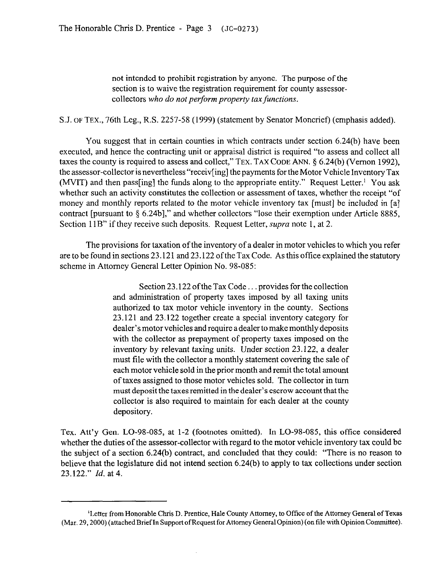not intended to prohibit registration by anyone. The purpose of the section is to waive the registration requirement for county assessorcollectors *who do not perform property tax functions.* 

S.J. OF TEX., 76th Leg., R.S. 2257-58 (1999) (statement by Senator Moncrief) (emphasis added).

You suggest that in certain counties in which contracts under section 6.24(b) have been executed, and hence the contracting unit or appraisal district is required "to assess and collect all taxes the county is required to assess and collect," TEX. TAX CODE ANN. § 6.24(b) (Vernon 1992), the assessor-collector is nevertheless "receiv[ing] the payments for the Motor Vehicle Inventory Tax (MVIT) and then pass [ing] the funds along to the appropriate entity." Request Letter.<sup>1</sup> You ask whether such an activity constitutes the collection or assessment of taxes, whether the receipt "of money and monthly reports related to the motor vehicle inventory tax [must] be included in [a] contract [pursuant to  $\S$  6.24b]," and whether collectors "lose their exemption under Article 8885, Section I IB" if they receive such deposits. Request Letter, *supra* note I, at 2.

The provisions for taxation of the inventory of a dealer in motor vehicles to which you refer are to be found in sections 23.121 and 23.122 of the Tax Code. As this office explained the statutory scheme in Attorney General Letter Opinion No. 98-085:

> Section 23.122 of the Tax Code... provides for the collection and administration of property taxes imposed by all taxing units authorized to tax motor vehicle inventory in the county. Sections 23.121 and 23.122 together create a special inventory category for dealer's motor vehicles and require a dealer to make monthly deposits with the collector as prepayment of property taxes imposed on the inventory by relevant taxing units. Under section 23.122, a dealer must tile with the collector a monthly statement covering the sale of each motor vehicle sold in the prior month and remit the total amount of taxes assigned to those motor vehicles sold. The collector in turn must deposit the taxes remitted in the dealer's escrow account that the collector is also required to maintain for each dealer at the county depository.

Tex. Att'y Gen. LO-98-085, at l-2 (footnotes omitted). In LO-98-085, this office considered whether the duties of the assessor-collector with regard to the motor vehicle inventory tax could be the subject of a section 6.24(b) contract, and concluded that they could: "There is no reason to believe that the legislature did not intend section 6.24(b) to apply to tax collections under section 23.122." *Id.* at 4.

<sup>&</sup>lt;sup>1</sup>Letter from Honorable Chris D. Prentice, Hale County Attorney, to Office of the Attorney General of Texas (Mar. 29,200O) (attached Brief In Support ofRequest for Attorney General Opinion) (on file with Opinion Committee).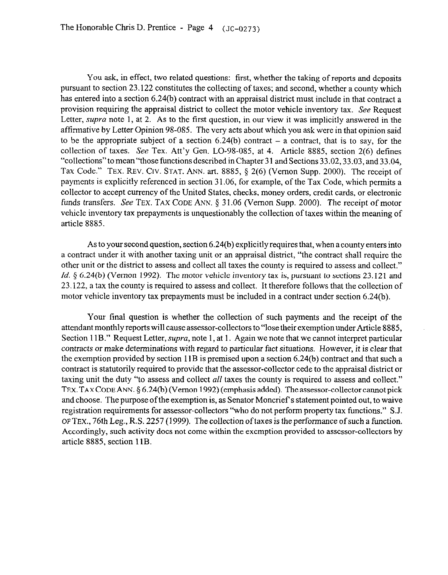You ask, in effect, two related questions: first, whether the taking of reports and deposits pursuant to section 23.122 constitutes the collecting of taxes; and second, whether a county which has entered into a section 6.24(b) contract with an appraisal district must include in that contract a provision requiring the appraisal district to collect the motor vehicle inventory tax. See Request Letter, *supra* note 1, at 2. As to the first question, in our view it was implicitly answered in the affirmative by Letter Opinion 98-085. The very acts about which you ask were in that opinion said to be the appropriate subject of a section  $6.24(b)$  contract  $-$  a contract, that is to say, for the collection of taxes. See Tex. Att'y Gen. LO-98-085, at 4. Article 8885, section 2(6) defines "collections" to mean"those functions described in Chapter 3 1 and Sections 33.02,33.03, and 33.04, Tax Code." TEX. REV. CIV. STAT. ANN. art. 8885, § 2(6) (Vernon Supp. 2000). The receipt of payments is explicitly referenced in section 31.06, for example, of the Tax Code, which permits a collector to accept currency of the United States, checks, money orders, credit cards, or electronic funds transfers. See TEX. TAX CODE ANN.  $\S$  31.06 (Vernon Supp. 2000). The receipt of motor vehicle inventory tax prepayments is unquestionably the collection of taxes within the meaning of article 8885.

As to your second question, section 6,24(b) explicitly requires that, when a county enters into a contract under it with another taxing unit or an appraisal district, "the contract shall require the other unit or the district to assess and collect all taxes the county is required to assess and collect." *Id.* § 6.24(b) (Vernon 1992). The motor vehicle inventory tax is, pursuant to sections 23.121 and 23.122, a tax the county is required to assess and collect. It therefore follows that the collection of motor vehicle inventory tax prepayments must be included in a contract under section 6.24(b).

Your final question is whether the collection of such payments and the receipt of the attendant monthly reports will cause assessor-collectors to "lose their exemption under Article 8885, Section 11B." Request Letter, *supra*, note 1, at 1. Again we note that we cannot interpret particular contracts or make determinations with regard to particular fact situations. However, it is clear that the exemption provided by section 1 IB is premised upon a section 6.24(b) contract and that such a contract is statutorily required to provide that the assessor-collector cede to the appraisal district or taxing unit the duty "to assess and collect *all* taxes the county is required to assess and collect." TEX. TAXCODEANN. 5 6.24(b) (Vernon 1992) (emphasis added). The assessor-collectorcannotpick and choose. The purpose of the exemption is, as Senator Moncrief's statement pointed out, to waive registration requirements for assessor-collectors "who do not perform property tax functions." S.J. OF TEX., 76th Leg., R.S. 2257 (1999). The collection of taxes is the performance of such a function. Accordingly, such activity does not come within the exemption provided to assessor-collectors by article 8885. section 11B.